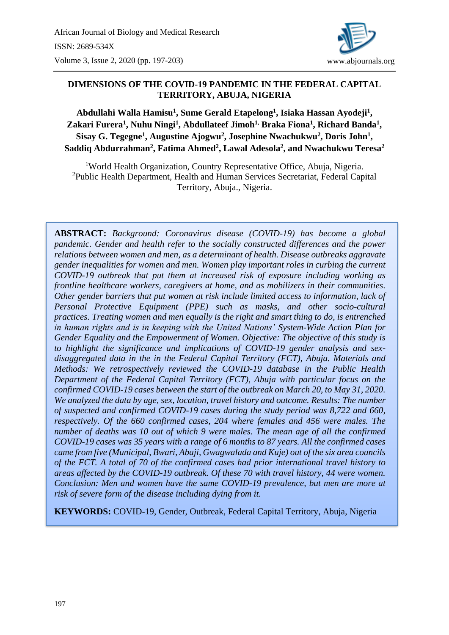

### **DIMENSIONS OF THE COVID-19 PANDEMIC IN THE FEDERAL CAPITAL TERRITORY, ABUJA, NIGERIA**

**Abdullahi Walla Hamisu<sup>1</sup> , Sume Gerald Etapelong<sup>1</sup> , Isiaka Hassan Ayodeji<sup>1</sup> , Zakari Furera<sup>1</sup> , Nuhu Ningi<sup>1</sup> , Abdullateef Jimoh1, Braka Fiona<sup>1</sup> , Richard Banda<sup>1</sup> , Sisay G. Tegegne<sup>1</sup> , Augustine Ajogwu<sup>2</sup> , Josephine Nwachukwu<sup>2</sup> , Doris John<sup>1</sup> , Saddiq Abdurrahman<sup>2</sup> , Fatima Ahmed<sup>2</sup> , Lawal Adesola<sup>2</sup> , and Nwachukwu Teresa<sup>2</sup>**

<sup>1</sup>World Health Organization, Country Representative Office, Abuja, Nigeria. <sup>2</sup>Public Health Department, Health and Human Services Secretariat, Federal Capital Territory, Abuja., Nigeria.

**ABSTRACT:** *Background: Coronavirus disease (COVID-19) has become a global pandemic. Gender and health refer to the socially constructed differences and the power relations between women and men, as a determinant of health. Disease outbreaks aggravate gender inequalities for women and men. Women play important roles in curbing the current COVID-19 outbreak that put them at increased risk of exposure including working as frontline healthcare workers, caregivers at home, and as mobilizers in their communities. Other gender barriers that put women at risk include limited access to information, lack of Personal Protective Equipment (PPE) such as masks, and other socio-cultural practices. Treating women and men equally is the right and smart thing to do, is entrenched in human rights and is in keeping with the United Nations' System-Wide Action Plan for Gender Equality and the Empowerment of Women. Objective: The objective of this study is to highlight the significance and implications of COVID-19 gender analysis and sexdisaggregated data in the in the Federal Capital Territory (FCT), Abuja. Materials and Methods: We retrospectively reviewed the COVID-19 database in the Public Health Department of the Federal Capital Territory (FCT), Abuja with particular focus on the confirmed COVID-19 cases between the start of the outbreak on March 20, to May 31, 2020. We analyzed the data by age, sex, location, travel history and outcome. Results: The number of suspected and confirmed COVID-19 cases during the study period was 8,722 and 660, respectively. Of the 660 confirmed cases, 204 where females and 456 were males. The number of deaths was 10 out of which 9 were males. The mean age of all the confirmed COVID-19 cases was 35 years with a range of 6 months to 87 years. All the confirmed cases came from five (Municipal, Bwari, Abaji, Gwagwalada and Kuje) out of the six area councils of the FCT. A total of 70 of the confirmed cases had prior international travel history to areas affected by the COVID-19 outbreak. Of these 70 with travel history, 44 were women. Conclusion: Men and women have the same COVID-19 prevalence, but men are more at risk of severe form of the disease including dying from it.*

**KEYWORDS:** COVID-19, Gender, Outbreak, Federal Capital Territory, Abuja, Nigeria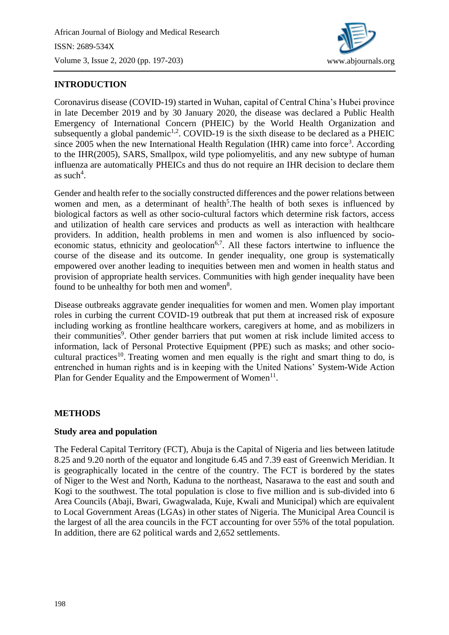

# **INTRODUCTION**

Coronavirus disease (COVID-19) started in Wuhan, capital of Central China's Hubei province in late December 2019 and by 30 January 2020, the disease was declared a Public Health Emergency of International Concern (PHEIC) by the World Health Organization and subsequently a global pandemic<sup>1,2</sup>. COVID-19 is the sixth disease to be declared as a PHEIC since 2005 when the new International Health Regulation (IHR) came into force<sup>3</sup>. According to the IHR(2005), [SARS,](https://en.wikipedia.org/wiki/Severe_acute_respiratory_syndrome) [Smallpox,](https://en.wikipedia.org/wiki/Smallpox) [wild type](https://en.wikipedia.org/wiki/Wild_type) [poliomyelitis,](https://en.wikipedia.org/wiki/Poliomyelitis) and any new subtype of [human](https://en.wikipedia.org/wiki/Human_influenza)  [influenza](https://en.wikipedia.org/wiki/Human_influenza) are automatically PHEICs and thus do not require an IHR decision to declare them as such<sup>4</sup>.

Gender and health refer to the socially constructed differences and the power relations between women and men, as a determinant of health<sup>5</sup>. The health of both sexes is influenced by biological factors as well as other socio-cultural factors which determine risk factors, access and utilization of health care services and products as well as interaction with healthcare providers. In addition, health problems in men and women is also influenced by socioeconomic status, ethnicity and geolocation<sup>6,7</sup>. All these factors intertwine to influence the course of the disease and its outcome. In gender inequality, one group is systematically empowered over another leading to inequities between men and women in health status and provision of appropriate health services. Communities with high gender inequality have been found to be unhealthy for both men and women<sup>8</sup>.

Disease outbreaks aggravate gender inequalities for women and men. Women play important roles in curbing the current COVID-19 outbreak that put them at increased risk of exposure including working as frontline healthcare workers, caregivers at home, and as mobilizers in their communities<sup>9</sup>. Other gender barriers that put women at risk include limited access to information, lack of Personal Protective Equipment (PPE) such as masks; and other sociocultural practices<sup>10</sup>. Treating women and men equally is the right and smart thing to do, is entrenched in human rights and is in keeping with the United Nations' System-Wide Action Plan for Gender Equality and the Empowerment of Women $<sup>11</sup>$ .</sup>

#### **METHODS**

#### **Study area and population**

The Federal Capital Territory (FCT), Abuja is the Capital of Nigeria and lies between latitude 8.25 and 9.20 north of the equator and longitude 6.45 and 7.39 east of Greenwich Meridian. It is geographically located in the centre of the country. The FCT is bordered by the states of Niger to the West and North, Kaduna to the northeast, Nasarawa to the east and south and Kogi to the southwest. The total population is close to five million and is sub-divided into 6 Area Councils (Abaji, Bwari, Gwagwalada, Kuje, Kwali and Municipal) which are equivalent to Local Government Areas (LGAs) in other states of Nigeria. The Municipal Area Council is the largest of all the area councils in the FCT accounting for over 55% of the total population. In addition, there are 62 political wards and 2,652 settlements.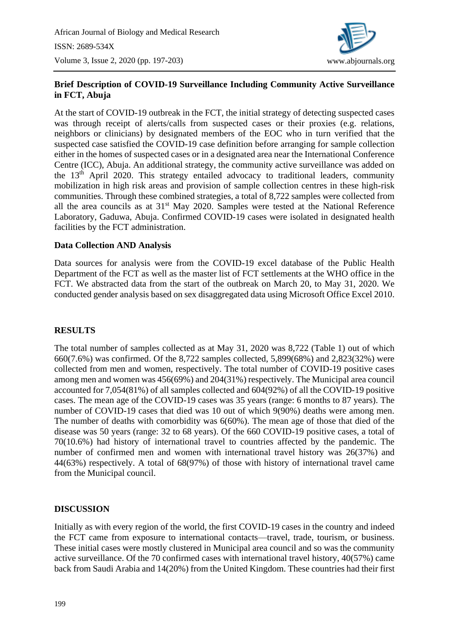

## **Brief Description of COVID-19 Surveillance Including Community Active Surveillance in FCT, Abuja**

At the start of COVID-19 outbreak in the FCT, the initial strategy of detecting suspected cases was through receipt of alerts/calls from suspected cases or their proxies (e.g. relations, neighbors or clinicians) by designated members of the EOC who in turn verified that the suspected case satisfied the COVID-19 case definition before arranging for sample collection either in the homes of suspected cases or in a designated area near the International Conference Centre (ICC), Abuja. An additional strategy, the community active surveillance was added on the 13th April 2020. This strategy entailed advocacy to traditional leaders, community mobilization in high risk areas and provision of sample collection centres in these high-risk communities. Through these combined strategies, a total of 8,722 samples were collected from all the area councils as at 31st May 2020. Samples were tested at the National Reference Laboratory, Gaduwa, Abuja. Confirmed COVID-19 cases were isolated in designated health facilities by the FCT administration.

#### **Data Collection AND Analysis**

Data sources for analysis were from the COVID-19 excel database of the Public Health Department of the FCT as well as the master list of FCT settlements at the WHO office in the FCT. We abstracted data from the start of the outbreak on March 20, to May 31, 2020. We conducted gender analysis based on sex disaggregated data using Microsoft Office Excel 2010.

### **RESULTS**

The total number of samples collected as at May 31, 2020 was 8,722 (Table 1) out of which 660(7.6%) was confirmed. Of the 8,722 samples collected, 5,899(68%) and 2,823(32%) were collected from men and women, respectively. The total number of COVID-19 positive cases among men and women was 456(69%) and 204(31%) respectively. The Municipal area council accounted for 7,054(81%) of all samples collected and 604(92%) of all the COVID-19 positive cases. The mean age of the COVID-19 cases was 35 years (range: 6 months to 87 years). The number of COVID-19 cases that died was 10 out of which 9(90%) deaths were among men. The number of deaths with comorbidity was 6(60%). The mean age of those that died of the disease was 50 years (range: 32 to 68 years). Of the 660 COVID-19 positive cases, a total of 70(10.6%) had history of international travel to countries affected by the pandemic. The number of confirmed men and women with international travel history was 26(37%) and 44(63%) respectively. A total of 68(97%) of those with history of international travel came from the Municipal council.

### **DISCUSSION**

Initially as with every region of the world, the first COVID-19 cases in the country and indeed the FCT came from exposure to international contacts—travel, trade, tourism, or business. These initial cases were mostly clustered in Municipal area council and so was the community active surveillance. Of the 70 confirmed cases with international travel history, 40(57%) came back from Saudi Arabia and 14(20%) from the United Kingdom. These countries had their first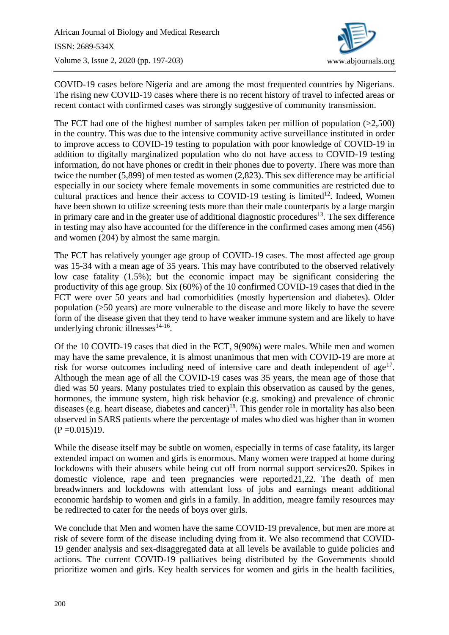

COVID-19 cases before Nigeria and are among the most frequented countries by Nigerians. The rising new COVID-19 cases where there is no recent history of travel to infected areas or recent contact with confirmed cases was strongly suggestive of community transmission.

The FCT had one of the highest number of samples taken per million of population  $(>2,500)$ in the country. This was due to the intensive community active surveillance instituted in order to improve access to COVID-19 testing to population with poor knowledge of COVID-19 in addition to digitally marginalized population who do not have access to COVID-19 testing information, do not have phones or credit in their phones due to poverty. There was more than twice the number (5,899) of men tested as women (2,823). This sex difference may be artificial especially in our society where female movements in some communities are restricted due to cultural practices and hence their access to COVID-19 testing is limited<sup>12</sup>. Indeed, Women have been shown to utilize screening tests more than their male counterparts by a large margin in primary care and in the greater use of additional diagnostic procedures<sup>13</sup>. The sex difference in testing may also have accounted for the difference in the confirmed cases among men (456) and women (204) by almost the same margin.

The FCT has relatively younger age group of COVID-19 cases. The most affected age group was 15-34 with a mean age of 35 years. This may have contributed to the observed relatively low case fatality (1.5%); but the economic impact may be significant considering the productivity of this age group. Six (60%) of the 10 confirmed COVID-19 cases that died in the FCT were over 50 years and had comorbidities (mostly hypertension and diabetes). Older population (>50 years) are more vulnerable to the disease and more likely to have the severe form of the disease given that they tend to have weaker immune system and are likely to have underlying chronic illnesses $14-16$ .

Of the 10 COVID-19 cases that died in the FCT, 9(90%) were males. While men and women may have the same prevalence, it is almost unanimous that men with COVID-19 are more at risk for worse outcomes including need of intensive care and death independent of  $age^{17}$ . Although the mean age of all the COVID-19 cases was 35 years, the mean age of those that died was 50 years. Many postulates tried to explain this observation as caused by the genes, hormones, the immune system, high risk behavior (e.g. smoking) and prevalence of chronic diseases (e.g. heart disease, diabetes and cancer)<sup>18</sup>. This gender role in mortality has also been observed in SARS patients where the percentage of males who died was higher than in women  $(P = 0.015)19$ .

While the disease itself may be subtle on women, especially in terms of case fatality, its larger extended impact on women and girls is enormous. Many women were trapped at home during lockdowns with their abusers while being cut off from normal support services20. Spikes in domestic violence, rape and teen pregnancies were reported21,22. The death of men breadwinners and lockdowns with attendant loss of jobs and earnings meant additional economic hardship to women and girls in a family. In addition, meagre family resources may be redirected to cater for the needs of boys over girls.

We conclude that Men and women have the same COVID-19 prevalence, but men are more at risk of severe form of the disease including dying from it. We also recommend that COVID-19 gender analysis and sex-disaggregated data at all levels be available to guide policies and actions. The current COVID-19 palliatives being distributed by the Governments should prioritize women and girls. Key health services for women and girls in the health facilities,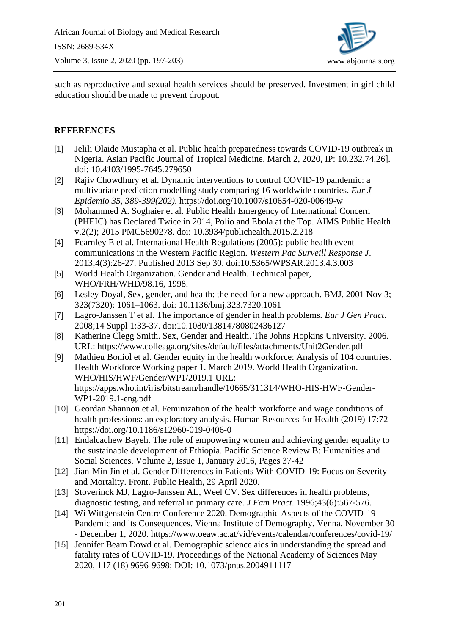

such as reproductive and sexual health services should be preserved. Investment in girl child education should be made to prevent dropout.

## **REFERENCES**

- [1] Jelili Olaide Mustapha et al. Public health preparedness towards COVID-19 outbreak in Nigeria. Asian Pacific Journal of Tropical Medicine. March 2, 2020, IP: 10.232.74.26]. doi: 10.4103/1995-7645.279650
- [2] Rajiv Chowdhury et al. Dynamic interventions to control COVID-19 pandemic: a multivariate prediction modelling study comparing 16 worldwide countries. *Eur J Epidemio 35, 389-399(202).* https://doi.org/10.1007/s10654-020-00649-w
- [3] Mohammed A. Soghaier et al. Public Health Emergency of International Concern (PHEIC) has Declared Twice in 2014, Polio and Ebola at the Top. [AIMS Public Health](https://www.ncbi.nlm.nih.gov/pmc/journals/3313/) [v.2\(2\); 2015](https://www.ncbi.nlm.nih.gov/pmc/issues/301748/) PMC5690278. doi: [10.3934/publichealth.2015.2.218](https://dx.doi.org/10.3934%2Fpublichealth.2015.2.218)
- [4] Fearnley E et al. International Health Regulations (2005): public health event communications in the Western Pacific Region. *Western Pac Surveill Response J*. 2013;4(3):26-27. Published 2013 Sep 30. doi:10.5365/WPSAR.2013.4.3.003
- [5] World Health Organization. Gender and Health. Technical paper, WHO/FRH/WHD/98.16, 1998.
- [6] [Lesley Doyal,](https://www.ncbi.nlm.nih.gov/pubmed/?term=Doyal%20L%5BAuthor%5D&cauthor=true&cauthor_uid=11691769) Sex, gender, and health: the need for a new approach. [BMJ.](https://www.ncbi.nlm.nih.gov/pmc/articles/PMC1121552/) 2001 Nov 3; 323(7320): 1061–1063. doi: [10.1136/bmj.323.7320.1061](https://dx.doi.org/10.1136%2Fbmj.323.7320.1061)
- [7] Lagro-Janssen T et al. The importance of gender in health problems. *Eur J Gen Pract*. 2008;14 Suppl 1:33-37. doi:10.1080/13814780802436127
- [8] Katherine Clegg Smith. Sex, Gender and Health. The Johns Hopkins University. 2006. URL:<https://www.colleaga.org/sites/default/files/attachments/Unit2Gender.pdf>
- [9] Mathieu Boniol et al. Gender equity in the health workforce: Analysis of 104 countries. Health Workforce Working paper 1. March 2019. World Health Organization. WHO/HIS/HWF/Gender/WP1/2019.1 URL: [https://apps.who.int/iris/bitstream/handle/10665/311314/WHO-HIS-HWF-Gender-](https://apps.who.int/iris/bitstream/handle/10665/311314/WHO-HIS-HWF-Gender-WP1-2019.1-eng.pdf)[WP1-2019.1-eng.pdf](https://apps.who.int/iris/bitstream/handle/10665/311314/WHO-HIS-HWF-Gender-WP1-2019.1-eng.pdf)
- [10] Geordan Shannon et al. Feminization of the health workforce and wage conditions of health professions: an exploratory analysis. Human Resources for Health (2019) 17:72 https://doi.org/10.1186/s12960-019-0406-0
- [11] [Endalcachew](https://www.sciencedirect.com/science/article/pii/S2405883116300508#!) Bayeh. The role of empowering women and achieving gender equality to the sustainable development of Ethiopia. [Pacific Science Review B: Humanities and](https://www.sciencedirect.com/science/journal/24058831)  [Social Sciences.](https://www.sciencedirect.com/science/journal/24058831) [Volume 2, Issue 1,](https://www.sciencedirect.com/science/journal/24058831/2/1) January 2016, Pages 37-42
- [12] Jian-Min Jin et al. Gender Differences in Patients With COVID-19: Focus on Severity and Mortality. Front. Public Health, 29 April 2020.
- [13] Stoverinck MJ, Lagro-Janssen AL, Weel CV. Sex differences in health problems, diagnostic testing, and referral in primary care. *J Fam Pract*. 1996;43(6):567‐576.
- [14] Wi Wittgenstein Centre Conference 2020. Demographic Aspects of the COVID-19 Pandemic and its Consequences. Vienna Institute of Demography. Venna, November 30 - December 1, 2020.<https://www.oeaw.ac.at/vid/events/calendar/conferences/covid-19/>
- [15] Jennifer Beam Dowd et al. Demographic science aids in understanding the spread and fatality rates of COVID-19. Proceedings of the National Academy of Sciences May 2020, 117 (18) 9696-9698; DOI: 10.1073/pnas.2004911117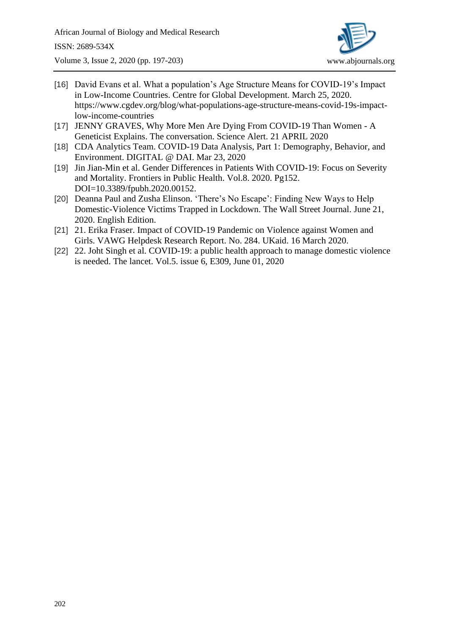

- [16] David Evans et al. What a population's Age Structure Means for COVID-19's Impact in Low-Income Countries. Centre for Global Development. March 25, 2020. [https://www.cgdev.org/blog/what-populations-age-structure-means-covid-19s-impact](https://www.cgdev.org/blog/what-populations-age-structure-means-covid-19s-impact-low-income-countries)[low-income-countries](https://www.cgdev.org/blog/what-populations-age-structure-means-covid-19s-impact-low-income-countries)
- [17] JENNY GRAVES, Why More Men Are Dying From COVID-19 Than Women A Geneticist Explains. The conversation. Science Alert. 21 APRIL 2020
- [18] CDA Analytics Team. COVID-19 Data Analysis, Part 1: Demography, Behavior, and Environment. DIGITAL @ DAI. Mar 23, 2020
- [19] Jin Jian-Min et al. Gender Differences in Patients With COVID-19: Focus on Severity and Mortality. Frontiers in Public Health. Vol.8. 2020. Pg152. DOI=10.3389/fpubh.2020.00152.
- [20] Deanna Paul and Zusha Elinson. 'There's No Escape': Finding New Ways to Help Domestic-Violence Victims Trapped in Lockdown. The Wall Street Journal. June 21, 2020. English Edition.
- [21] 21. Erika Fraser. Impact of COVID-19 Pandemic on Violence against Women and Girls. VAWG Helpdesk Research Report. No. 284. UKaid. 16 March 2020.
- [22] 22. Joht Singh et al. COVID-19: a public health approach to manage domestic violence is needed. The lancet. Vol.5. issue 6, E309, June 01, 2020